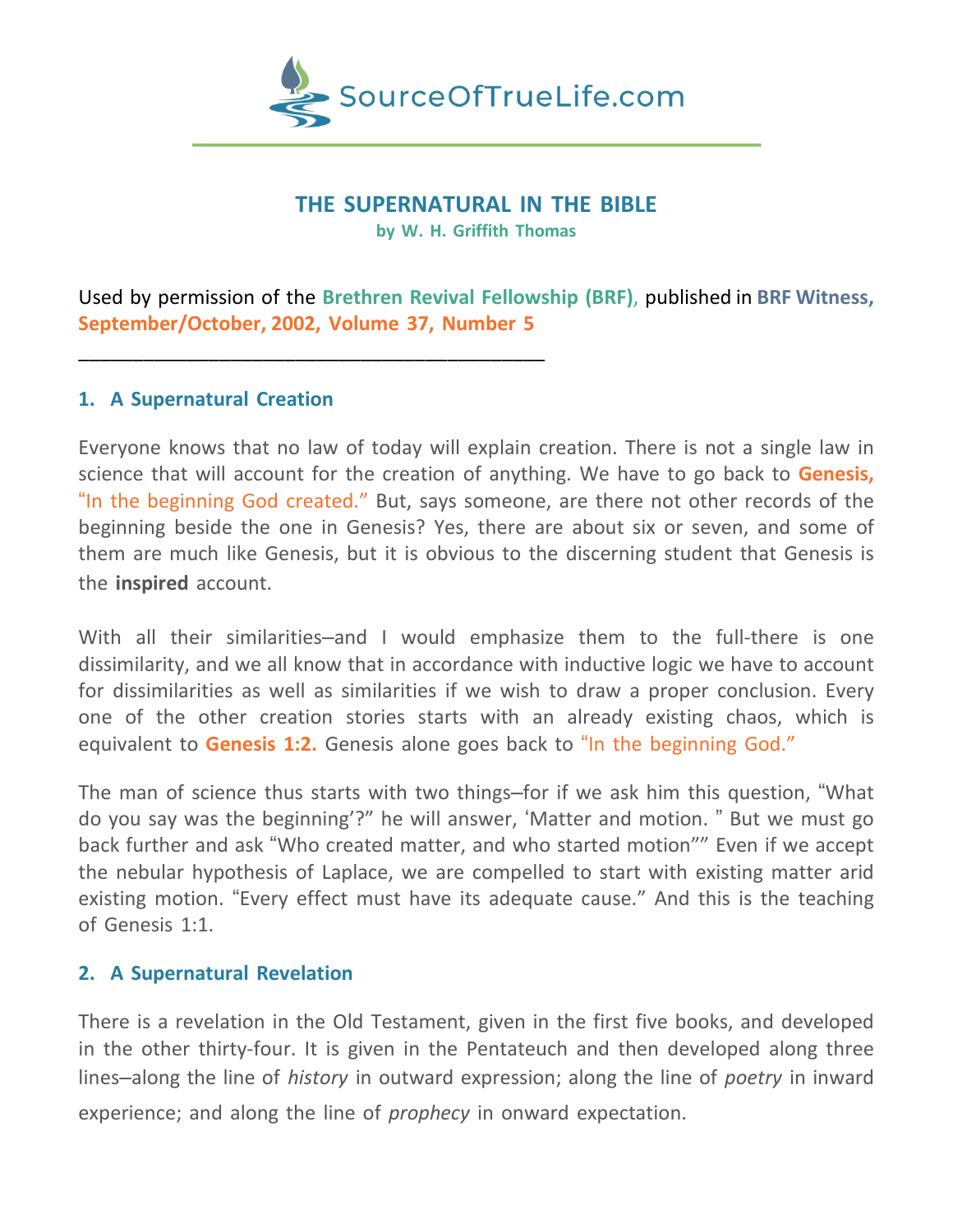

### **THE SUPERNATURAL IN THE BIBLE**

**by W. H. Griffith Thomas**

Used by permission of the **Brethren Revival Fellowship (BRF)**, published in **BRF Witness, September/October, 2002, Volume 37, Number 5**

## **1. A Supernatural Creation**

\_\_\_\_\_\_\_\_\_\_\_\_\_\_\_\_\_\_\_\_\_\_\_\_\_\_\_\_\_\_\_\_\_\_\_\_\_\_\_\_\_\_\_

Everyone knows that no law of today will explain creation. There is not a single law in science that will account for the creation of anything. We have to go back to **Genesis,** "In the beginning God created." But, says someone, are there not other records of the beginning beside the one in Genesis? Yes, there are about six or seven, and some of them are much like Genesis, but it is obvious to the discerning student that Genesis is the **inspired** account.

With all their similarities–and I would emphasize them to the full-there is one dissimilarity, and we all know that in accordance with inductive logic we have to account for dissimilarities as well as similarities if we wish to draw a proper conclusion. Every one of the other creation stories starts with an already existing chaos, which is equivalent to **Genesis 1:2.** Genesis alone goes back to "In the beginning God."

The man of science thus starts with two things–for if we ask him this question, "What do you say was the beginning'?" he will answer, 'Matter and motion. " But we must go back further and ask "Who created matter, and who started motion"" Even if we accept the nebular hypothesis of Laplace, we are compelled to start with existing matter arid existing motion. "Every effect must have its adequate cause." And this is the teaching of Genesis 1:1.

## **2. A Supernatural Revelation**

There is a revelation in the Old Testament, given in the first five books, and developed in the other thirty-four. It is given in the Pentateuch and then developed along three lines–along the line of *history* in outward expression; along the line of *poetry* in inward experience; and along the line of *prophecy* in onward expectation.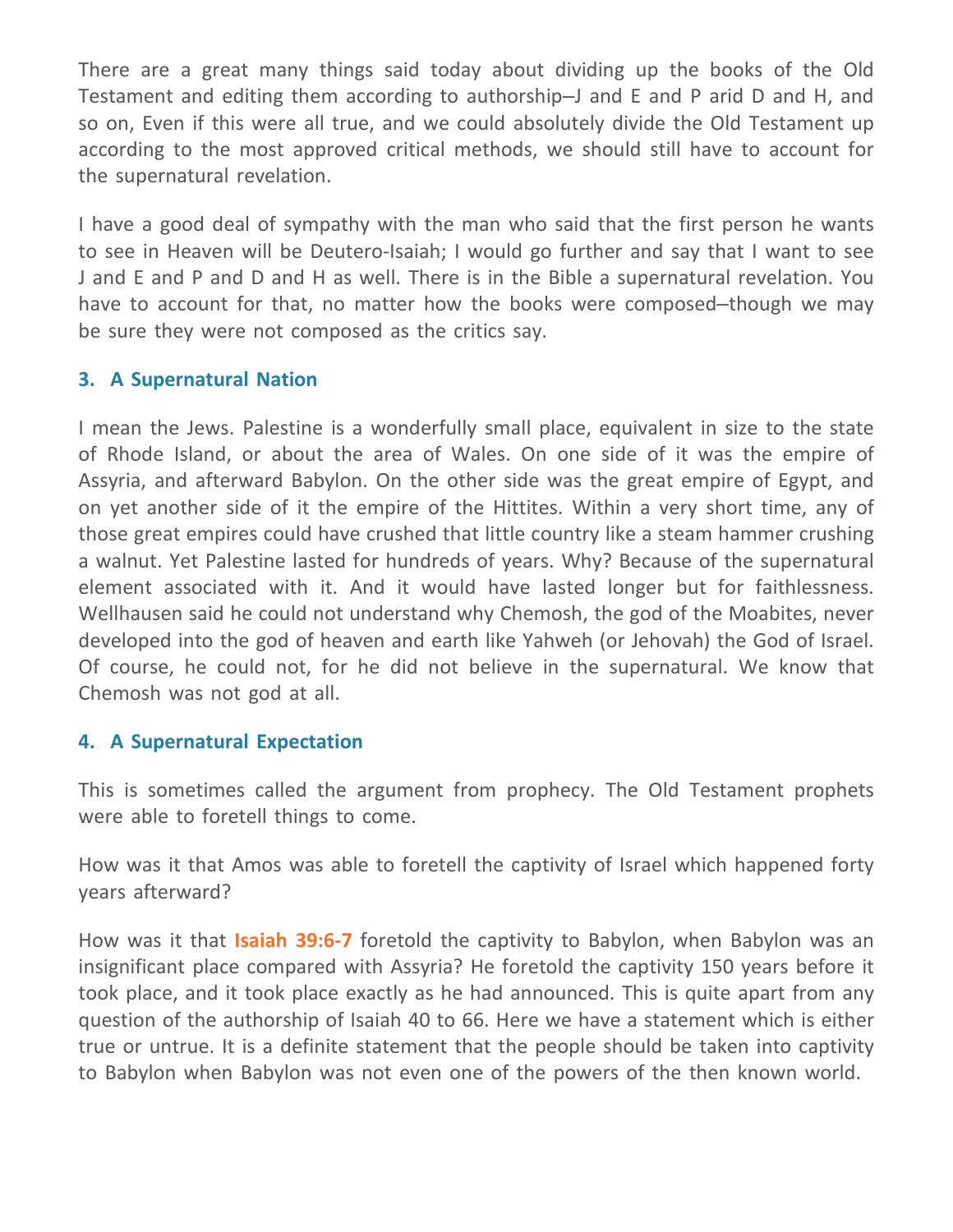There are a great many things said today about dividing up the books of the Old Testament and editing them according to authorship–J and E and P arid D and H, and so on, Even if this were all true, and we could absolutely divide the Old Testament up according to the most approved critical methods, we should still have to account for the supernatural revelation.

I have a good deal of sympathy with the man who said that the first person he wants to see in Heaven will be Deutero-Isaiah; I would go further and say that I want to see J and E and P and D and H as well. There is in the Bible a supernatural revelation. You have to account for that, no matter how the books were composed–though we may be sure they were not composed as the critics say.

## **3. A Supernatural Nation**

I mean the Jews. Palestine is a wonderfully small place, equivalent in size to the state of Rhode Island, or about the area of Wales. On one side of it was the empire of Assyria, and afterward Babylon. On the other side was the great empire of Egypt, and on yet another side of it the empire of the Hittites. Within a very short time, any of those great empires could have crushed that little country like a steam hammer crushing a walnut. Yet Palestine lasted for hundreds of years. Why? Because of the supernatural element associated with it. And it would have lasted longer but for faithlessness. Wellhausen said he could not understand why Chemosh, the god of the Moabites, never developed into the god of heaven and earth like Yahweh (or Jehovah) the God of Israel. Of course, he could not, for he did not believe in the supernatural. We know that Chemosh was not god at all.

# **4. A Supernatural Expectation**

This is sometimes called the argument from prophecy. The Old Testament prophets were able to foretell things to come.

How was it that Amos was able to foretell the captivity of Israel which happened forty years afterward?

How was it that **Isaiah 39:6-7** foretold the captivity to Babylon, when Babylon was an insignificant place compared with Assyria? He foretold the captivity 150 years before it took place, and it took place exactly as he had announced. This is quite apart from any question of the authorship of Isaiah 40 to 66. Here we have a statement which is either true or untrue. It is a definite statement that the people should be taken into captivity to Babylon when Babylon was not even one of the powers of the then known world.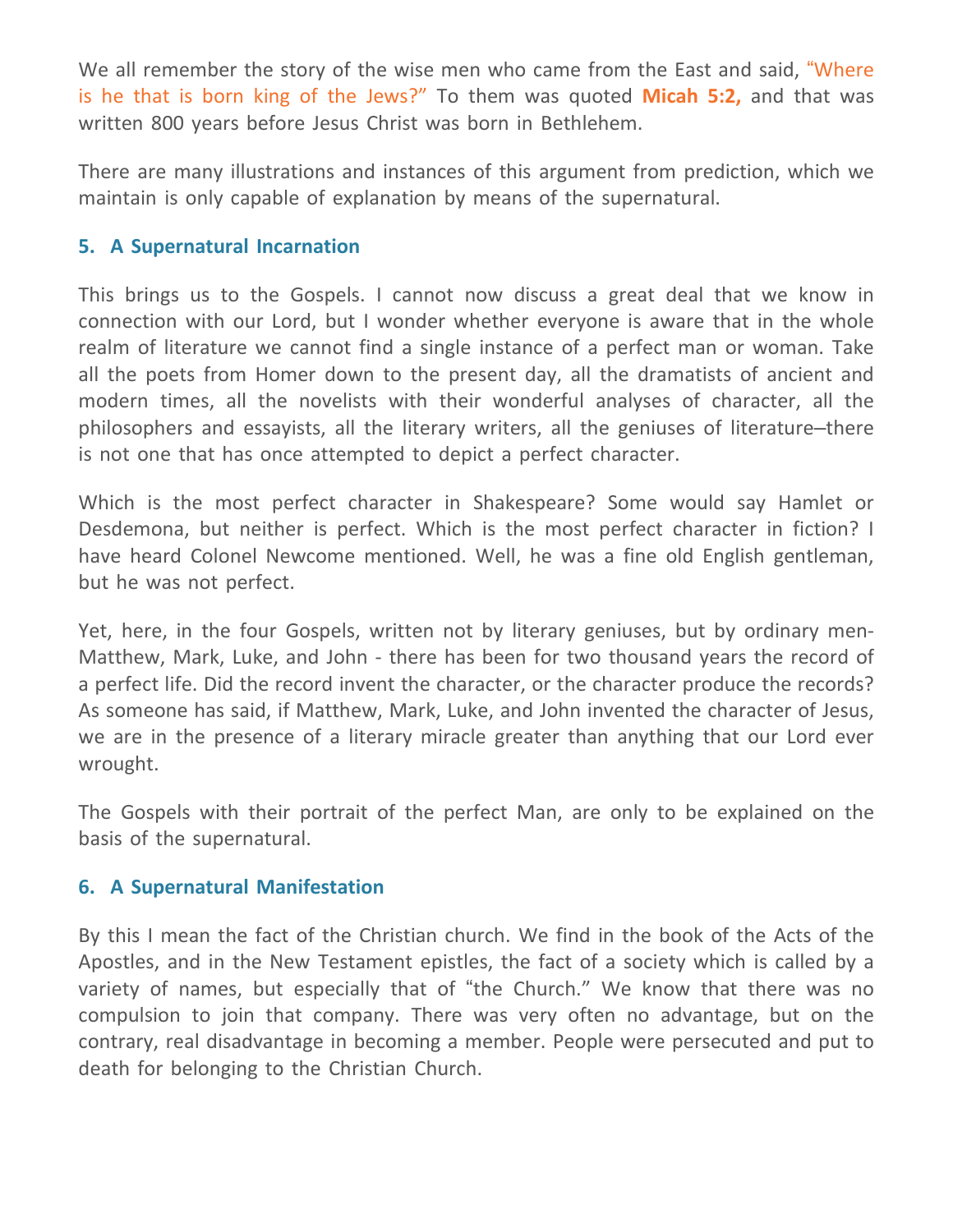We all remember the story of the wise men who came from the East and said, "Where is he that is born king of the Jews?" To them was quoted **Micah 5:2,** and that was written 800 years before Jesus Christ was born in Bethlehem.

There are many illustrations and instances of this argument from prediction, which we maintain is only capable of explanation by means of the supernatural.

## **5. A Supernatural Incarnation**

This brings us to the Gospels. I cannot now discuss a great deal that we know in connection with our Lord, but I wonder whether everyone is aware that in the whole realm of literature we cannot find a single instance of a perfect man or woman. Take all the poets from Homer down to the present day, all the dramatists of ancient and modern times, all the novelists with their wonderful analyses of character, all the philosophers and essayists, all the literary writers, all the geniuses of literature–there is not one that has once attempted to depict a perfect character.

Which is the most perfect character in Shakespeare? Some would say Hamlet or Desdemona, but neither is perfect. Which is the most perfect character in fiction? I have heard Colonel Newcome mentioned. Well, he was a fine old English gentleman, but he was not perfect.

Yet, here, in the four Gospels, written not by literary geniuses, but by ordinary men-Matthew, Mark, Luke, and John - there has been for two thousand years the record of a perfect life. Did the record invent the character, or the character produce the records? As someone has said, if Matthew, Mark, Luke, and John invented the character of Jesus, we are in the presence of a literary miracle greater than anything that our Lord ever wrought.

The Gospels with their portrait of the perfect Man, are only to be explained on the basis of the supernatural.

#### **6. A Supernatural Manifestation**

By this I mean the fact of the Christian church. We find in the book of the Acts of the Apostles, and in the New Testament epistles, the fact of a society which is called by a variety of names, but especially that of "the Church." We know that there was no compulsion to join that company. There was very often no advantage, but on the contrary, real disadvantage in becoming a member. People were persecuted and put to death for belonging to the Christian Church.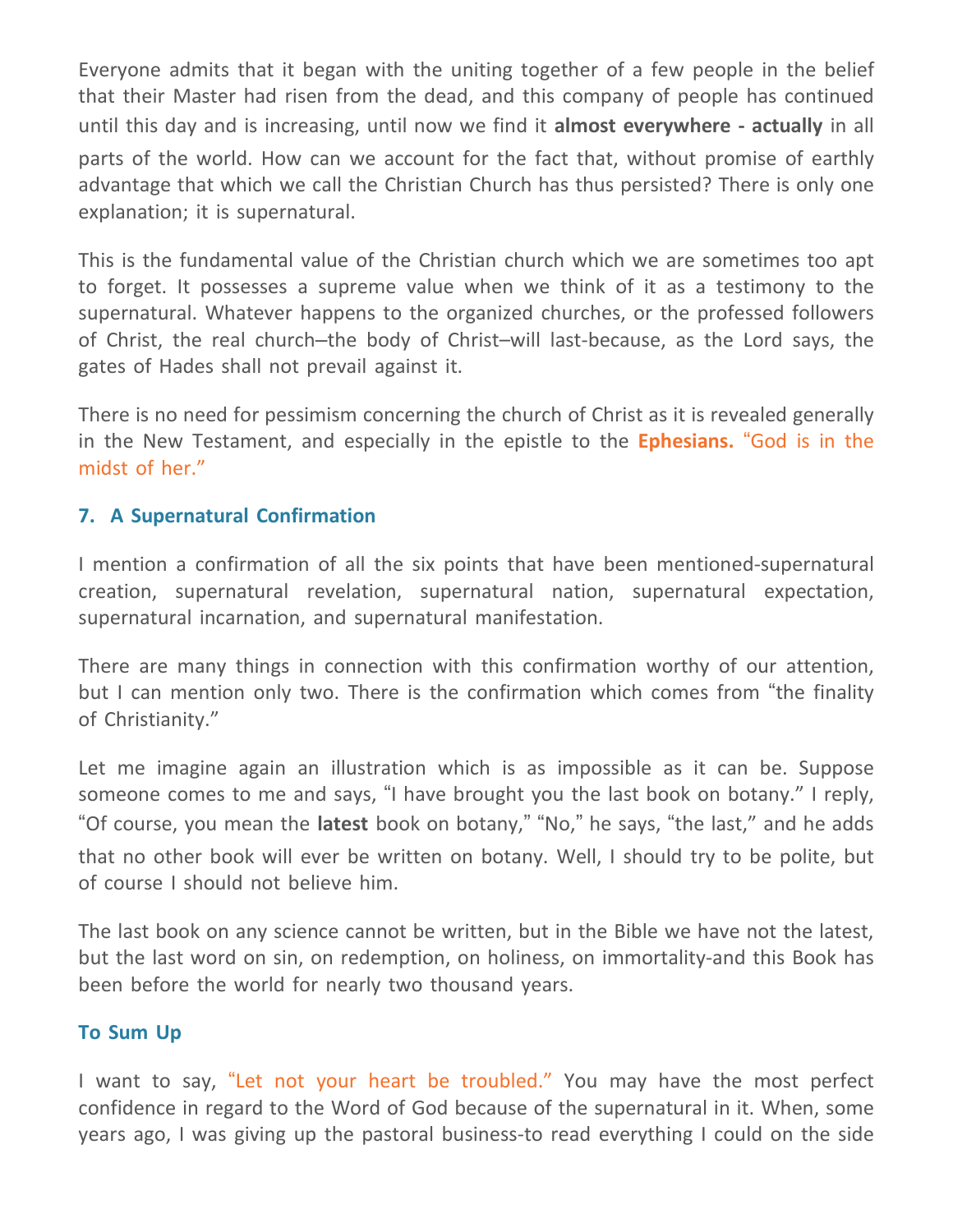Everyone admits that it began with the uniting together of a few people in the belief that their Master had risen from the dead, and this company of people has continued until this day and is increasing, until now we find it **almost everywhere - actually** in all parts of the world. How can we account for the fact that, without promise of earthly advantage that which we call the Christian Church has thus persisted? There is only one explanation; it is supernatural.

This is the fundamental value of the Christian church which we are sometimes too apt to forget. It possesses a supreme value when we think of it as a testimony to the supernatural. Whatever happens to the organized churches, or the professed followers of Christ, the real church–the body of Christ–will last-because, as the Lord says, the gates of Hades shall not prevail against it.

There is no need for pessimism concerning the church of Christ as it is revealed generally in the New Testament, and especially in the epistle to the **Ephesians.** "God is in the midst of her."

# **7. A Supernatural Confirmation**

I mention a confirmation of all the six points that have been mentioned-supernatural creation, supernatural revelation, supernatural nation, supernatural expectation, supernatural incarnation, and supernatural manifestation.

There are many things in connection with this confirmation worthy of our attention, but I can mention only two. There is the confirmation which comes from "the finality of Christianity."

Let me imagine again an illustration which is as impossible as it can be. Suppose someone comes to me and says, "I have brought you the last book on botany." I reply, "Of course, you mean the **latest** book on botany," "No," he says, "the last," and he adds that no other book will ever be written on botany. Well, I should try to be polite, but of course I should not believe him.

The last book on any science cannot be written, but in the Bible we have not the latest, but the last word on sin, on redemption, on holiness, on immortality-and this Book has been before the world for nearly two thousand years.

#### **To Sum Up**

I want to say, "Let not your heart be troubled." You may have the most perfect confidence in regard to the Word of God because of the supernatural in it. When, some years ago, I was giving up the pastoral business-to read everything I could on the side